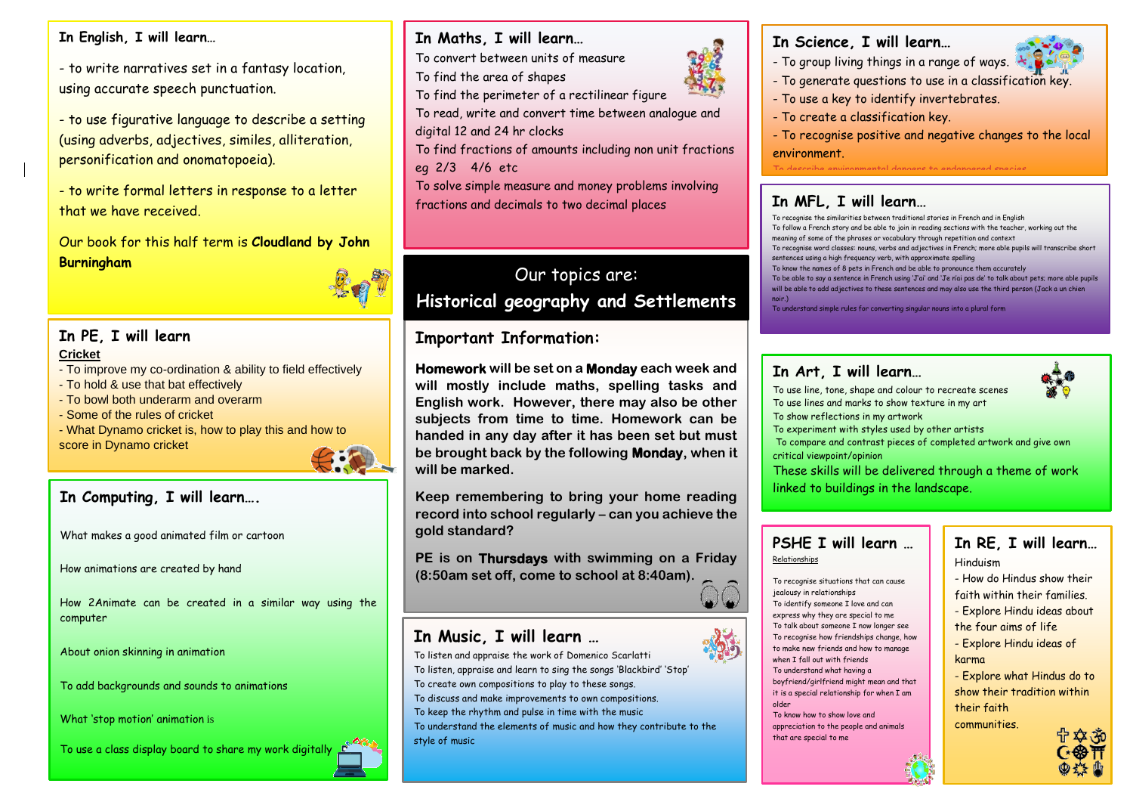#### **In English, I will learn…**

- to write narratives set in a fantasy location, using accurate speech punctuation.

**Yearly 2018**<br>personification and onomatopoeia). - to use figurative language to describe a setting (using adverbs, adjectives, similes, alliteration,

**6** - to write formal letters in response to a letter that we have received.

**Summ** Our book for this half term is **Cloudland by John** Burningham<br>
—



#### **Term 2 In PE, I will learn Cricket**

- To improve my co-ordination & ability to field effectively
- To hold & use that bat effectively
- To bowl both underarm and overarm
- Some of the rules of cricket
- What Dynamo cricket is, how to play this and how to score in Dynamo cricket



#### **In Computing, I will learn….**

What makes a good animated film or cartoon

How animations are created by hand

How 2Animate can be created in a similar way using the computer

About onion skinning in animation

To add backgrounds and sounds to animations

What 'stop motion' animation is

To use a class display board to share my work digitally

#### **In Maths, I will learn…**

- To convert between units of measure
- To find the area of shapes
- To find the perimeter of a rectilinear figure
- To read, write and convert time between analogue and digital 12 and 24 hr clocks
- To find fractions of amounts including non unit fractions eg 2/3 4/6 etc
- To solve simple measure and money problems involving fractions and decimals to two decimal places

# Our topics are: **Historical geography and Settlements**

#### **Important Information:**

**In Music, I will learn …**

**Homework will be set on a Monday each week and will mostly include maths, spelling tasks and English work. However, there may also be other subjects from time to time. Homework can be handed in any day after it has been set but must be brought back by the following Monday, when it will be marked.**

**Keep remembering to bring your home reading record into school regularly – can you achieve the gold standard?**

**PE is on Thursdays with swimming on a Friday (8:50am set off, come to school at 8:40am).**

To listen and appraise the work of Domenico Scarlatti To listen, appraise and learn to sing the songs 'Blackbird' 'Stop' To create own compositions to play to these songs. To discuss and make improvements to own compositions. To keep the rhythm and pulse in time with the music To understand the elements of music and how they contribute to the style of music



#### **In Science, I will learn…**

- To group living things in a range of ways.
- To generate questions to use in a classification key.
- To use a key to identify invertebrates.
- To create a classification key.

To record observations in different ways.

- To recognise positive and negative changes to the local environment.
- To describe environmental dangers to endangered species.

### To present my findings orally and in writing. **In MFL, I will learn…**

- To recognise the similarities between traditional stories in French and in English To follow a French story and be able to join in reading sections with the teacher, working out the meaning of some of the phrases or vocabulary through repetition and context
- To recognise word classes: nouns, verbs and adjectives in French; more able pupils will transcribe short sentences using a high frequency verb, with approximate spelling
- To know the names of 8 pets in French and be able to pronounce them accurately
- To be able to say a sentence in French using 'J'ai' and 'Je n'ai pas de' to talk about pets; more able pupils will be able to add adjectives to these sentences and may also use the third person (Jack a un chien
- noir.) To understand simple rules for converting singular nouns into a plural form

#### **In Art, I will learn…**

To use line, tone, shape and colour to recreate scenes To use lines and marks to show texture in my art To show reflections in my artwork

To experiment with styles used by other artists

To compare and contrast pieces of completed artwork and give own critical viewpoint/opinion

These skills will be delivered through a theme of work linked to buildings in the landscape.

#### **PSHE I will learn …** Relationships

To recognise situations that can cause jealousy in relationships To identify someone I love and can express why they are special to me To talk about someone I now longer see To recognise how friendships change, how to make new friends and how to manage when I fall out with friends To understand what having a boyfriend/girlfriend might mean and that it is a special relationship for when I am older

To know now to show love and  $\frac{1}{2}$  CON To know how to show love and that are special to me

To identify aspects of Greek Culture

## **In RE, I will learn…**

Hinduism

- How do Hindus show their

- faith within their families.
- Explore Hindu ideas about
- the four aims of life
- Explore Hindu ideas of karma
- Explore what Hindus do to show their tradition within their faith communities.